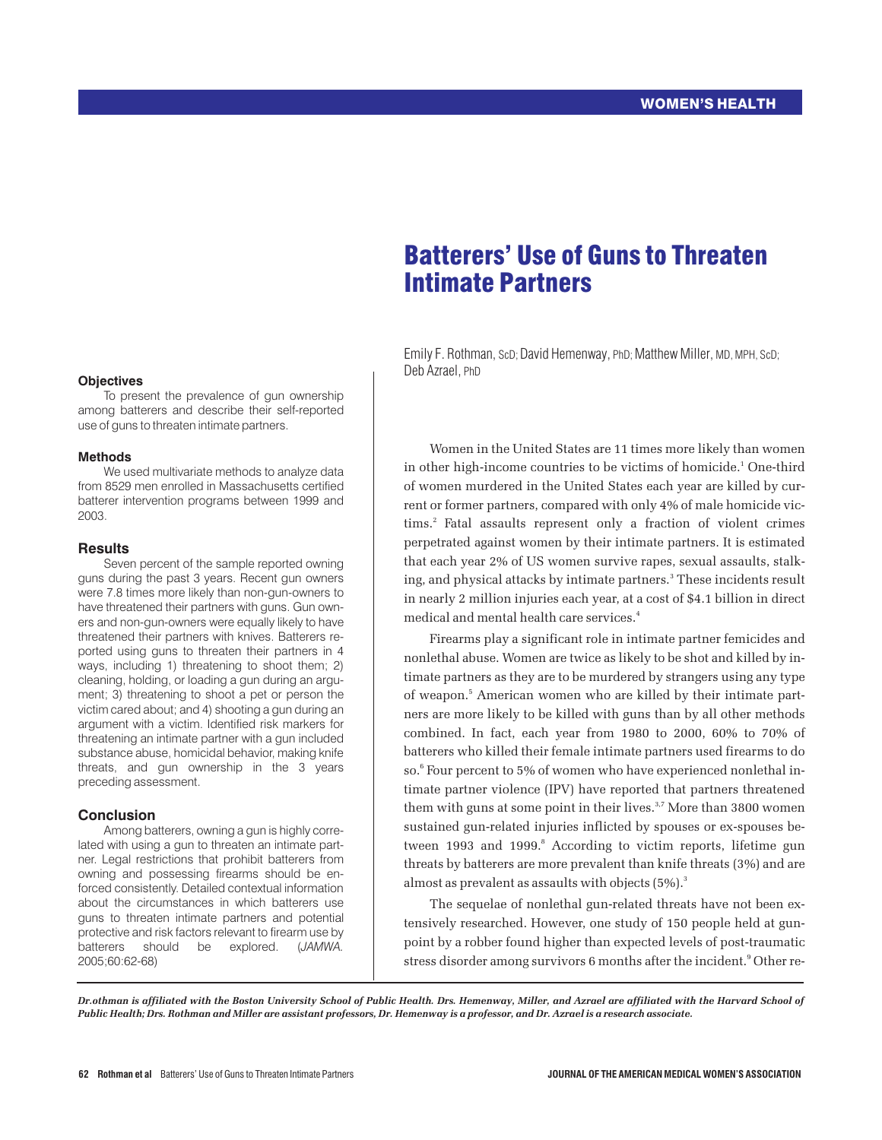## **Objectives**

To present the prevalence of gun ownership among batterers and describe their self-reported use of guns to threaten intimate partners.

#### **Methods**

We used multivariate methods to analyze data from 8529 men enrolled in Massachusetts certified batterer intervention programs between 1999 and 2003.

#### **Results**

Seven percent of the sample reported owning guns during the past 3 years. Recent gun owners were 7.8 times more likely than non-gun-owners to have threatened their partners with guns. Gun owners and non-gun-owners were equally likely to have threatened their partners with knives. Batterers reported using guns to threaten their partners in 4 ways, including 1) threatening to shoot them; 2) cleaning, holding, or loading a gun during an argument; 3) threatening to shoot a pet or person the victim cared about; and 4) shooting a gun during an argument with a victim. Identified risk markers for threatening an intimate partner with a gun included substance abuse, homicidal behavior, making knife threats, and gun ownership in the 3 years preceding assessment.

#### **Conclusion**

Among batterers, owning a gun is highly correlated with using a gun to threaten an intimate partner. Legal restrictions that prohibit batterers from owning and possessing firearms should be enforced consistently. Detailed contextual information about the circumstances in which batterers use guns to threaten intimate partners and potential protective and risk factors relevant to firearm use by<br>batterers should be explored. (JAMWA. batterers should be explored. 2005;60:62-68)

# Batterers' Use of Guns to Threaten Intimate Partners

Emily F. Rothman, ScD; David Hemenway, PhD; Matthew Miller, MD, MPH, ScD; Deb Azrael, PhD

Women in the United States are 11 times more likely than women in other high-income countries to be victims of homicide.<sup>1</sup> One-third of women murdered in the United States each year are killed by current or former partners, compared with only 4% of male homicide victims.<sup>2</sup> Fatal assaults represent only a fraction of violent crimes perpetrated against women by their intimate partners. It is estimated that each year 2% of US women survive rapes, sexual assaults, stalking, and physical attacks by intimate partners.<sup>3</sup> These incidents result in nearly 2 million injuries each year, at a cost of \$4.1 billion in direct medical and mental health care services.<sup>4</sup>

Firearms play a significant role in intimate partner femicides and nonlethal abuse. Women are twice as likely to be shot and killed by intimate partners as they are to be murdered by strangers using any type of weapon.5 American women who are killed by their intimate partners are more likely to be killed with guns than by all other methods combined. In fact, each year from 1980 to 2000, 60% to 70% of batterers who killed their female intimate partners used firearms to do so.<sup>6</sup> Four percent to 5% of women who have experienced nonlethal intimate partner violence (IPV) have reported that partners threatened them with guns at some point in their lives.<sup>3,7</sup> More than 3800 women sustained gun-related injuries inflicted by spouses or ex-spouses between 1993 and 1999.<sup>8</sup> According to victim reports, lifetime gun threats by batterers are more prevalent than knife threats (3%) and are almost as prevalent as assaults with objects  $(5\%)$ .<sup>3</sup>

The sequelae of nonlethal gun-related threats have not been extensively researched. However, one study of 150 people held at gunpoint by a robber found higher than expected levels of post-traumatic stress disorder among survivors 6 months after the incident.<sup>9</sup> Other re-

*Dr.othman is affiliated with the Boston University School of Public Health. Drs. Hemenway, Miller, and Azrael are affiliated with the Harvard School of Public Health; Drs. Rothman and Miller are assistant professors, Dr. Hemenway is a professor, and Dr. Azrael is a research associate.*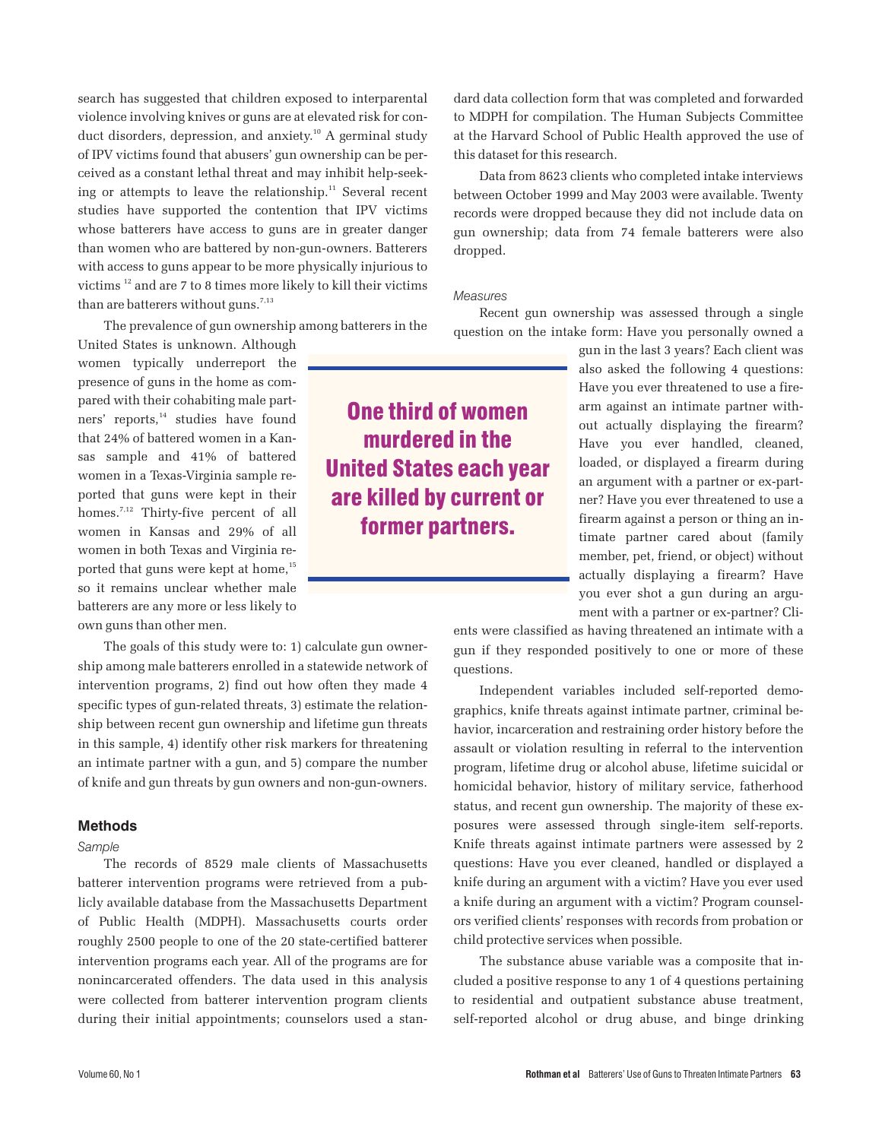search has suggested that children exposed to interparental violence involving knives or guns are at elevated risk for conduct disorders, depression, and anxiety.<sup>10</sup> A germinal study of IPV victims found that abusers' gun ownership can be perceived as a constant lethal threat and may inhibit help-seeking or attempts to leave the relationship. $11$  Several recent studies have supported the contention that IPV victims whose batterers have access to guns are in greater danger than women who are battered by non-gun-owners. Batterers with access to guns appear to be more physically injurious to victims <sup>12</sup> and are 7 to 8 times more likely to kill their victims than are batterers without guns.<sup>7,13</sup>

The prevalence of gun ownership among batterers in the

United States is unknown. Although women typically underreport the presence of guns in the home as compared with their cohabiting male partners' reports,<sup>14</sup> studies have found that 24% of battered women in a Kansas sample and 41% of battered women in a Texas-Virginia sample reported that guns were kept in their homes.<sup>7,12</sup> Thirty-five percent of all women in Kansas and 29% of all women in both Texas and Virginia reported that guns were kept at home,<sup>15</sup> so it remains unclear whether male batterers are any more or less likely to own guns than other men.

The goals of this study were to: 1) calculate gun ownership among male batterers enrolled in a statewide network of intervention programs, 2) find out how often they made 4 specific types of gun-related threats, 3) estimate the relationship between recent gun ownership and lifetime gun threats in this sample, 4) identify other risk markers for threatening an intimate partner with a gun, and 5) compare the number of knife and gun threats by gun owners and non-gun-owners.

# **Methods**

#### *Sample*

The records of 8529 male clients of Massachusetts batterer intervention programs were retrieved from a publicly available database from the Massachusetts Department of Public Health (MDPH). Massachusetts courts order roughly 2500 people to one of the 20 state-certified batterer intervention programs each year. All of the programs are for nonincarcerated offenders. The data used in this analysis were collected from batterer intervention program clients during their initial appointments; counselors used a stan-

**One third of women murdered in the**

**United States each year are killed by current or**

**former partners.**

dard data collection form that was completed and forwarded to MDPH for compilation. The Human Subjects Committee at the Harvard School of Public Health approved the use of this dataset for this research.

Data from 8623 clients who completed intake interviews between October 1999 and May 2003 were available. Twenty records were dropped because they did not include data on gun ownership; data from 74 female batterers were also dropped.

#### *Measures*

Recent gun ownership was assessed through a single question on the intake form: Have you personally owned a

> gun in the last 3 years? Each client was also asked the following 4 questions: Have you ever threatened to use a firearm against an intimate partner without actually displaying the firearm? Have you ever handled, cleaned, loaded, or displayed a firearm during an argument with a partner or ex-partner? Have you ever threatened to use a firearm against a person or thing an intimate partner cared about (family member, pet, friend, or object) without actually displaying a firearm? Have you ever shot a gun during an argument with a partner or ex-partner? Cli-

ents were classified as having threatened an intimate with a gun if they responded positively to one or more of these questions.

Independent variables included self-reported demographics, knife threats against intimate partner, criminal behavior, incarceration and restraining order history before the assault or violation resulting in referral to the intervention program, lifetime drug or alcohol abuse, lifetime suicidal or homicidal behavior, history of military service, fatherhood status, and recent gun ownership. The majority of these exposures were assessed through single-item self-reports. Knife threats against intimate partners were assessed by 2 questions: Have you ever cleaned, handled or displayed a knife during an argument with a victim? Have you ever used a knife during an argument with a victim? Program counselors verified clients' responses with records from probation or child protective services when possible.

The substance abuse variable was a composite that included a positive response to any 1 of 4 questions pertaining to residential and outpatient substance abuse treatment, self-reported alcohol or drug abuse, and binge drinking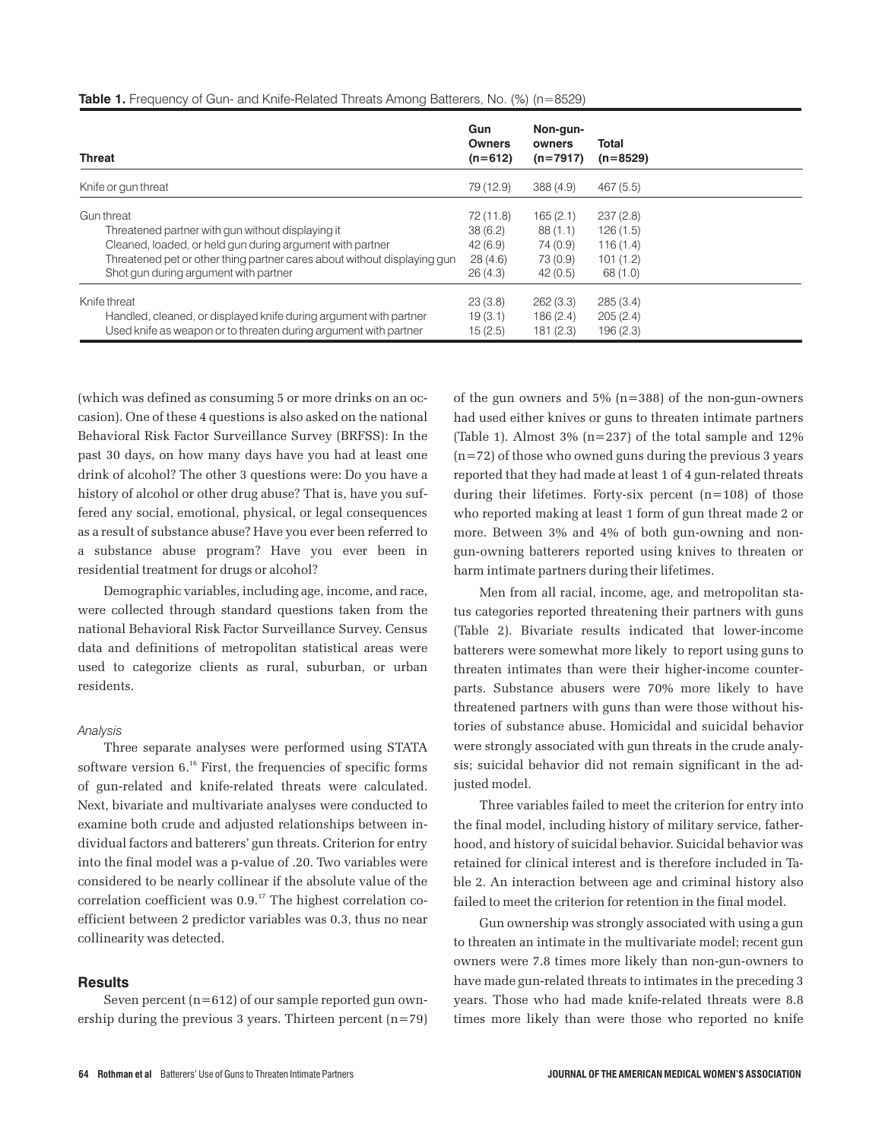| <b>Threat</b>                                                            | Gun<br><b>Owners</b><br>$(n=612)$ | Non-gun-<br>owners<br>$(n=7917)$ | Total<br>$(n=8529)$ |
|--------------------------------------------------------------------------|-----------------------------------|----------------------------------|---------------------|
| Knife or gun threat                                                      | 79 (12.9)                         | 388(4.9)                         | 467(5.5)            |
| Gun threat                                                               | 72 (11.8)                         | 165(2.1)                         | 237(2.8)            |
| Threatened partner with gun without displaying it                        | 38(6.2)                           | 88(1.1)                          | 126(1.5)            |
| Cleaned, loaded, or held gun during argument with partner                | 42(6.9)                           | 74 (0.9)                         | 116(1.4)            |
| Threatened pet or other thing partner cares about without displaying gun | 28(4.6)                           | 73 (0.9)                         | 101(1.2)            |
| Shot gun during argument with partner                                    | 26(4.3)                           | 42(0.5)                          | 68 (1.0)            |
| Knife threat                                                             | 23(3.8)                           | 262(3.3)                         | 285(3.4)            |
| Handled, cleaned, or displayed knife during argument with partner        | 19(3.1)                           | 186(2.4)                         | 205(2.4)            |
| Used knife as weapon or to threaten during argument with partner         | 15(2.5)                           | 181(2.3)                         | 196(2.3)            |

**Table 1.** Frequency of Gun- and Knife-Related Threats Among Batterers, No. (%) (n=8529)

(which was defined as consuming 5 or more drinks on an occasion). One of these 4 questions is also asked on the national Behavioral Risk Factor Surveillance Survey (BRFSS): In the past 30 days, on how many days have you had at least one drink of alcohol? The other 3 questions were: Do you have a history of alcohol or other drug abuse? That is, have you suffered any social, emotional, physical, or legal consequences as a result of substance abuse? Have you ever been referred to a substance abuse program? Have you ever been in residential treatment for drugs or alcohol?

Demographic variables, including age, income, and race, were collected through standard questions taken from the national Behavioral Risk Factor Surveillance Survey. Census data and definitions of metropolitan statistical areas were used to categorize clients as rural, suburban, or urban residents.

## *Analysis*

Three separate analyses were performed using STATA software version 6.16 First, the frequencies of specific forms of gun-related and knife-related threats were calculated. Next, bivariate and multivariate analyses were conducted to examine both crude and adjusted relationships between individual factors and batterers' gun threats. Criterion for entry into the final model was a p-value of .20. Two variables were considered to be nearly collinear if the absolute value of the correlation coefficient was  $0.9$ .<sup>17</sup> The highest correlation coefficient between 2 predictor variables was 0.3, thus no near collinearity was detected.

# **Results**

Seven percent (n=612) of our sample reported gun ownership during the previous 3 years. Thirteen percent (n=79) of the gun owners and 5% (n=388) of the non-gun-owners had used either knives or guns to threaten intimate partners (Table 1). Almost 3% (n=237) of the total sample and 12%  $(n=72)$  of those who owned guns during the previous 3 years reported that they had made at least 1 of 4 gun-related threats during their lifetimes. Forty-six percent (n=108) of those who reported making at least 1 form of gun threat made 2 or more. Between 3% and 4% of both gun-owning and nongun-owning batterers reported using knives to threaten or harm intimate partners during their lifetimes.

Men from all racial, income, age, and metropolitan status categories reported threatening their partners with guns (Table 2). Bivariate results indicated that lower-income batterers were somewhat more likely to report using guns to threaten intimates than were their higher-income counterparts. Substance abusers were 70% more likely to have threatened partners with guns than were those without histories of substance abuse. Homicidal and suicidal behavior were strongly associated with gun threats in the crude analysis; suicidal behavior did not remain significant in the adjusted model.

Three variables failed to meet the criterion for entry into the final model, including history of military service, fatherhood, and history of suicidal behavior. Suicidal behavior was retained for clinical interest and is therefore included in Table 2. An interaction between age and criminal history also failed to meet the criterion for retention in the final model.

Gun ownership was strongly associated with using a gun to threaten an intimate in the multivariate model; recent gun owners were 7.8 times more likely than non-gun-owners to have made gun-related threats to intimates in the preceding 3 years. Those who had made knife-related threats were 8.8 times more likely than were those who reported no knife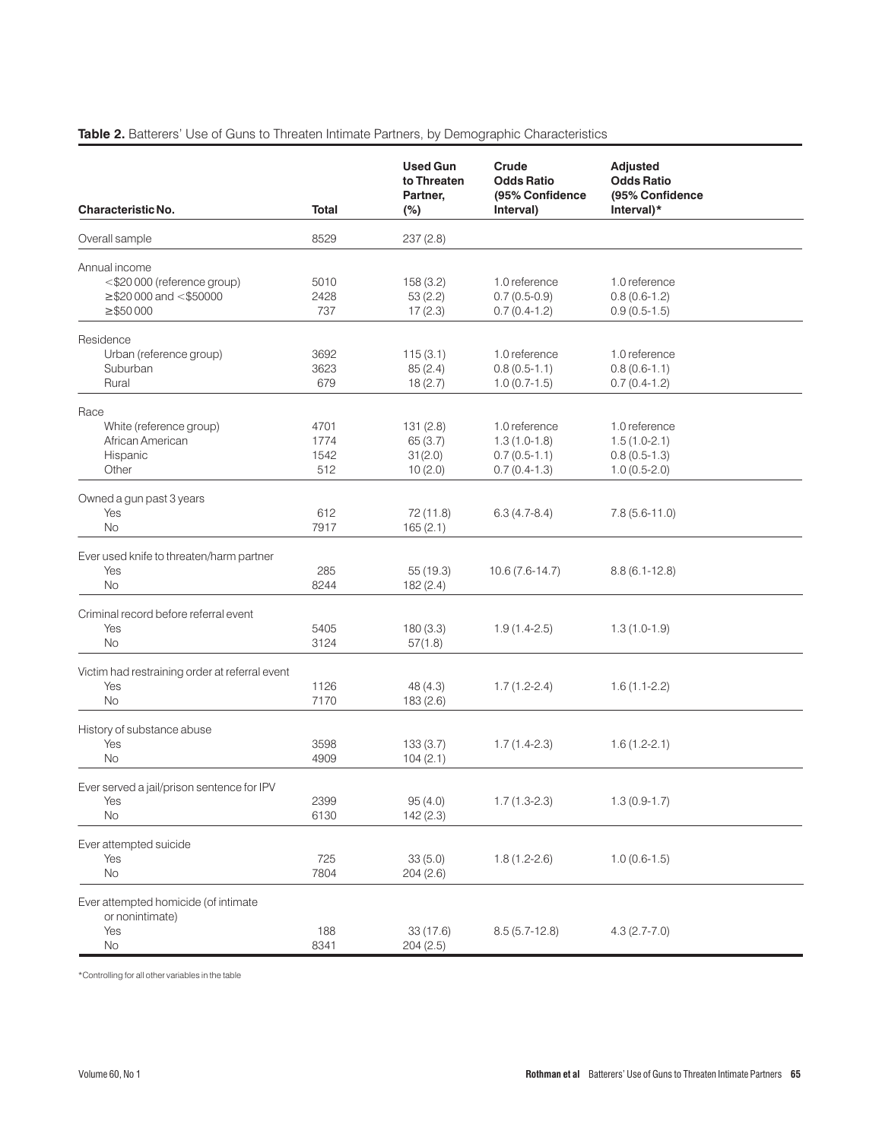# **Table 2.** Batterers' Use of Guns to Threaten Intimate Partners, by Demographic Characteristics

| Characteristic No.                                      | <b>Total</b> | <b>Used Gun</b><br>to Threaten<br>Partner,<br>$(\%)$ | Crude<br><b>Odds Ratio</b><br>(95% Confidence<br>Interval) | <b>Adjusted</b><br><b>Odds Ratio</b><br>(95% Confidence<br>Interval)* |  |
|---------------------------------------------------------|--------------|------------------------------------------------------|------------------------------------------------------------|-----------------------------------------------------------------------|--|
| Overall sample                                          | 8529         | 237(2.8)                                             |                                                            |                                                                       |  |
| Annual income                                           |              |                                                      |                                                            |                                                                       |  |
| <\$20 000 (reference group)                             | 5010         | 158(3.2)                                             | 1.0 reference                                              | 1.0 reference                                                         |  |
| $\geq$ \$20 000 and <\$50000                            | 2428         | 53(2.2)                                              | $0.7(0.5-0.9)$                                             | $0.8(0.6-1.2)$                                                        |  |
| $\geq$ \$50000                                          | 737          | 17(2.3)                                              | $0.7(0.4-1.2)$                                             | $0.9(0.5-1.5)$                                                        |  |
| Residence                                               |              |                                                      |                                                            |                                                                       |  |
| Urban (reference group)                                 | 3692         | 115(3.1)                                             | 1.0 reference                                              | 1.0 reference                                                         |  |
| Suburban                                                | 3623         | 85(2.4)                                              | $0.8(0.5-1.1)$                                             | $0.8(0.6-1.1)$                                                        |  |
| Rural                                                   | 679          | 18(2.7)                                              | $1.0(0.7-1.5)$                                             | $0.7(0.4-1.2)$                                                        |  |
| Race                                                    |              |                                                      |                                                            |                                                                       |  |
| White (reference group)                                 | 4701         | 131(2.8)                                             | 1.0 reference                                              | 1.0 reference                                                         |  |
| African American                                        | 1774         | 65(3.7)                                              | $1.3(1.0-1.8)$                                             | $1.5(1.0-2.1)$                                                        |  |
| Hispanic                                                | 1542         | 31(2.0)                                              | $0.7(0.5-1.1)$                                             | $0.8(0.5-1.3)$                                                        |  |
| Other                                                   | 512          | 10(2.0)                                              | $0.7(0.4-1.3)$                                             | $1.0(0.5-2.0)$                                                        |  |
| Owned a gun past 3 years                                |              |                                                      |                                                            |                                                                       |  |
| Yes                                                     | 612          | 72 (11.8)                                            | $6.3(4.7-8.4)$                                             | $7.8(5.6-11.0)$                                                       |  |
| <b>No</b>                                               | 7917         | 165(2.1)                                             |                                                            |                                                                       |  |
| Ever used knife to threaten/harm partner                |              |                                                      |                                                            |                                                                       |  |
| Yes                                                     | 285          | 55 (19.3)                                            | $10.6(7.6-14.7)$                                           | $8.8(6.1 - 12.8)$                                                     |  |
| <b>No</b>                                               | 8244         | 182(2.4)                                             |                                                            |                                                                       |  |
| Criminal record before referral event                   |              |                                                      |                                                            |                                                                       |  |
| Yes                                                     | 5405         | 180(3.3)                                             | $1.9(1.4-2.5)$                                             | $1.3(1.0-1.9)$                                                        |  |
| <b>No</b>                                               | 3124         | 57(1.8)                                              |                                                            |                                                                       |  |
| Victim had restraining order at referral event          |              |                                                      |                                                            |                                                                       |  |
| Yes                                                     | 1126         | 48(4.3)                                              | $1.7(1.2-2.4)$                                             | $1.6(1.1-2.2)$                                                        |  |
| <b>No</b>                                               | 7170         | 183(2.6)                                             |                                                            |                                                                       |  |
| History of substance abuse                              |              |                                                      |                                                            |                                                                       |  |
| Yes                                                     | 3598         | 133(3.7)                                             | $1.7(1.4-2.3)$                                             | $1.6(1.2-2.1)$                                                        |  |
| No                                                      | 4909         | 104(2.1)                                             |                                                            |                                                                       |  |
| Ever served a jail/prison sentence for IPV              |              |                                                      |                                                            |                                                                       |  |
| Yes                                                     | 2399         | 95(4.0)                                              | $1.7(1.3-2.3)$                                             | $1.3(0.9-1.7)$                                                        |  |
| No                                                      | 6130         | 142 (2.3)                                            |                                                            |                                                                       |  |
| Ever attempted suicide                                  |              |                                                      |                                                            |                                                                       |  |
| Yes                                                     | 725          | 33(5.0)                                              | $1.8(1.2 - 2.6)$                                           | $1.0(0.6-1.5)$                                                        |  |
| No                                                      | 7804         | 204(2.6)                                             |                                                            |                                                                       |  |
| Ever attempted homicide (of intimate<br>or nonintimate) |              |                                                      |                                                            |                                                                       |  |
| Yes                                                     | 188          | 33 (17.6)                                            | $8.5(5.7-12.8)$                                            | $4.3(2.7 - 7.0)$                                                      |  |
| No                                                      | 8341         | 204(2.5)                                             |                                                            |                                                                       |  |

\*Controlling for all other variables in the table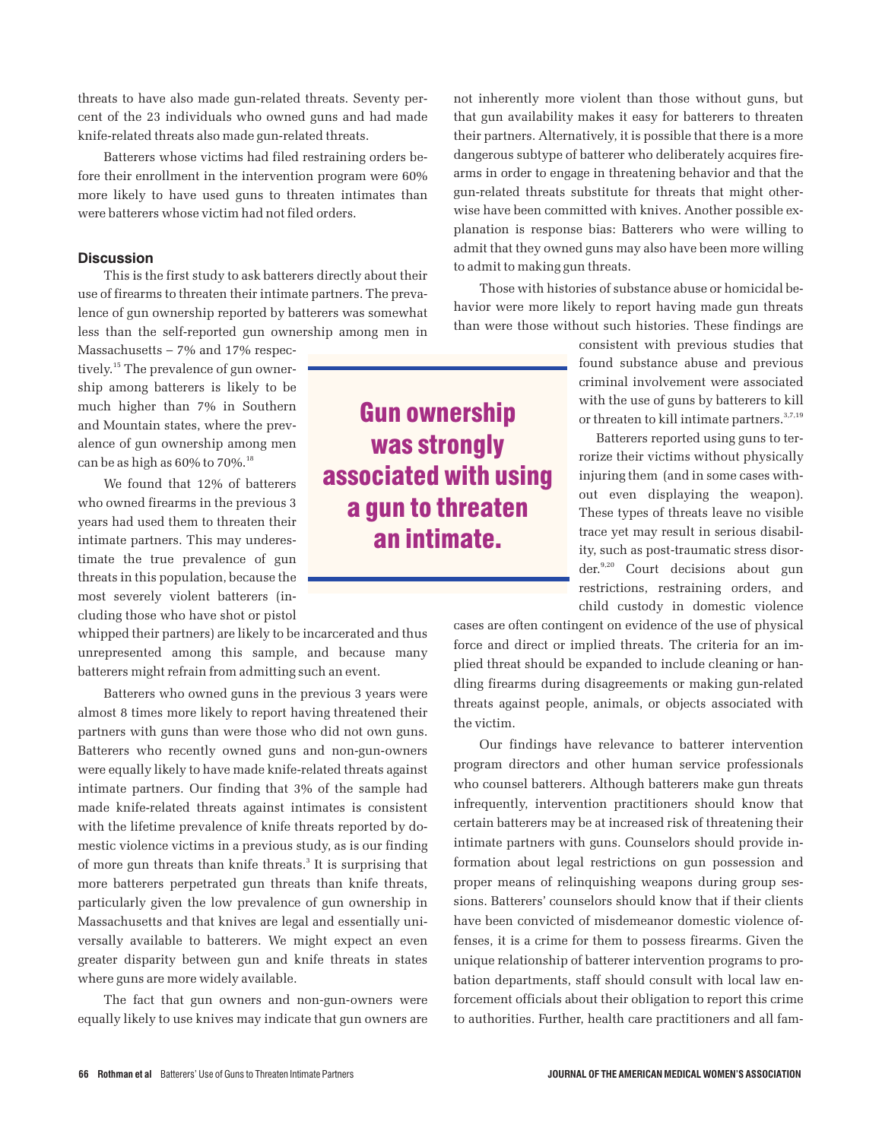threats to have also made gun-related threats. Seventy percent of the 23 individuals who owned guns and had made knife-related threats also made gun-related threats.

Batterers whose victims had filed restraining orders before their enrollment in the intervention program were 60% more likely to have used guns to threaten intimates than were batterers whose victim had not filed orders.

# **Discussion**

This is the first study to ask batterers directly about their use of firearms to threaten their intimate partners. The prevalence of gun ownership reported by batterers was somewhat less than the self-reported gun ownership among men in

Massachusetts – 7% and 17% respectively.15 The prevalence of gun ownership among batterers is likely to be much higher than 7% in Southern and Mountain states, where the prevalence of gun ownership among men can be as high as  $60\%$  to  $70\%$ .<sup>18</sup>

We found that 12% of batterers who owned firearms in the previous 3 years had used them to threaten their intimate partners. This may underestimate the true prevalence of gun threats in this population, because the most severely violent batterers (including those who have shot or pistol

whipped their partners) are likely to be incarcerated and thus unrepresented among this sample, and because many batterers might refrain from admitting such an event.

Batterers who owned guns in the previous 3 years were almost 8 times more likely to report having threatened their partners with guns than were those who did not own guns. Batterers who recently owned guns and non-gun-owners were equally likely to have made knife-related threats against intimate partners. Our finding that 3% of the sample had made knife-related threats against intimates is consistent with the lifetime prevalence of knife threats reported by domestic violence victims in a previous study, as is our finding of more gun threats than knife threats.<sup>3</sup> It is surprising that more batterers perpetrated gun threats than knife threats, particularly given the low prevalence of gun ownership in Massachusetts and that knives are legal and essentially universally available to batterers. We might expect an even greater disparity between gun and knife threats in states where guns are more widely available.

The fact that gun owners and non-gun-owners were equally likely to use knives may indicate that gun owners are not inherently more violent than those without guns, but that gun availability makes it easy for batterers to threaten their partners. Alternatively, it is possible that there is a more dangerous subtype of batterer who deliberately acquires firearms in order to engage in threatening behavior and that the gun-related threats substitute for threats that might otherwise have been committed with knives. Another possible explanation is response bias: Batterers who were willing to admit that they owned guns may also have been more willing to admit to making gun threats.

Those with histories of substance abuse or homicidal behavior were more likely to report having made gun threats than were those without such histories. These findings are

> consistent with previous studies that found substance abuse and previous criminal involvement were associated with the use of guns by batterers to kill or threaten to kill intimate partners.<sup>3,7,19</sup>

> Batterers reported using guns to terrorize their victims without physically injuring them (and in some cases without even displaying the weapon). These types of threats leave no visible trace yet may result in serious disability, such as post-traumatic stress disorder.<sup>9,20</sup> Court decisions about gun restrictions, restraining orders, and child custody in domestic violence

cases are often contingent on evidence of the use of physical force and direct or implied threats. The criteria for an implied threat should be expanded to include cleaning or handling firearms during disagreements or making gun-related threats against people, animals, or objects associated with the victim.

Our findings have relevance to batterer intervention program directors and other human service professionals who counsel batterers. Although batterers make gun threats infrequently, intervention practitioners should know that certain batterers may be at increased risk of threatening their intimate partners with guns. Counselors should provide information about legal restrictions on gun possession and proper means of relinquishing weapons during group sessions. Batterers' counselors should know that if their clients have been convicted of misdemeanor domestic violence offenses, it is a crime for them to possess firearms. Given the unique relationship of batterer intervention programs to probation departments, staff should consult with local law enforcement officials about their obligation to report this crime to authorities. Further, health care practitioners and all fam-

**Gun ownership was strongly associated with using a gun to threaten an intimate.**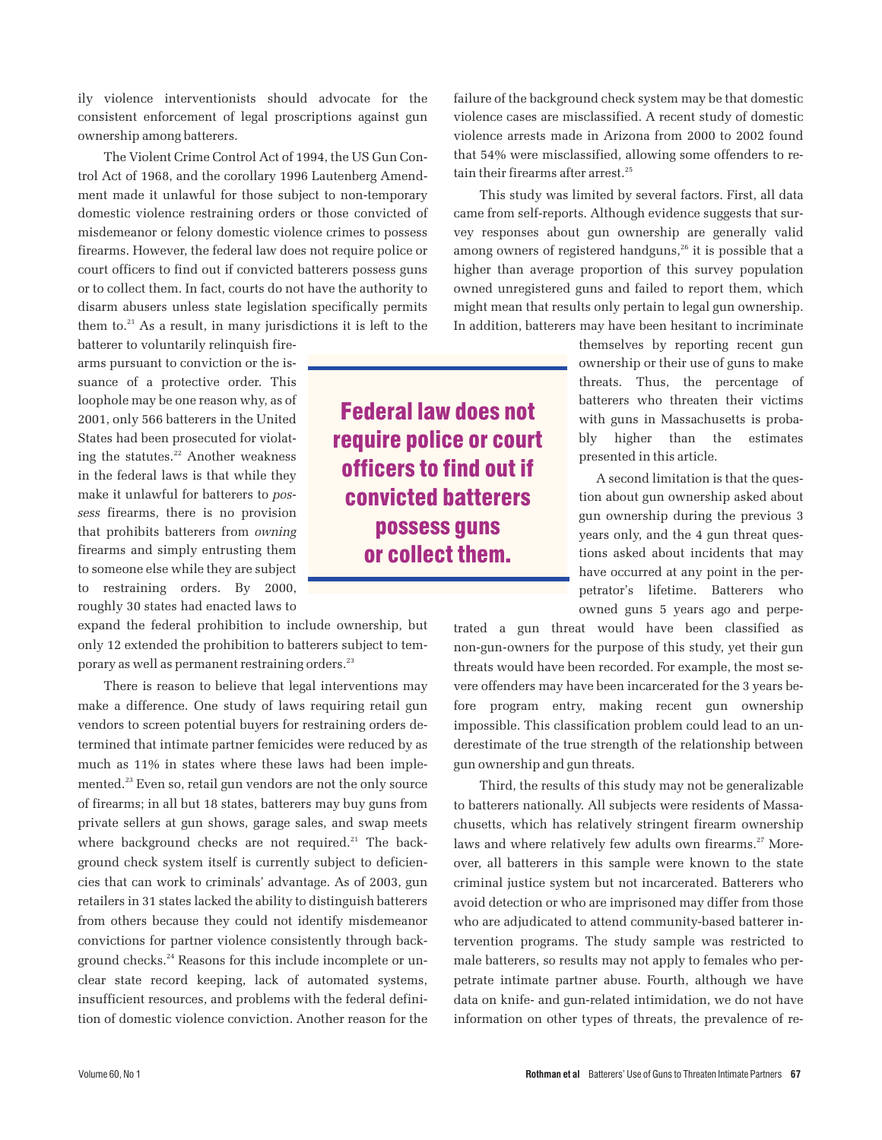ily violence interventionists should advocate for the consistent enforcement of legal proscriptions against gun ownership among batterers.

The Violent Crime Control Act of 1994, the US Gun Control Act of 1968, and the corollary 1996 Lautenberg Amendment made it unlawful for those subject to non-temporary domestic violence restraining orders or those convicted of misdemeanor or felony domestic violence crimes to possess firearms. However, the federal law does not require police or court officers to find out if convicted batterers possess guns or to collect them. In fact, courts do not have the authority to disarm abusers unless state legislation specifically permits them to. $21$  As a result, in many jurisdictions it is left to the

batterer to voluntarily relinquish firearms pursuant to conviction or the issuance of a protective order. This loophole may be one reason why, as of 2001, only 566 batterers in the United States had been prosecuted for violating the statutes.<sup>22</sup> Another weakness in the federal laws is that while they make it unlawful for batterers to *possess* firearms, there is no provision that prohibits batterers from *owning* firearms and simply entrusting them to someone else while they are subject to restraining orders. By 2000, roughly 30 states had enacted laws to

expand the federal prohibition to include ownership, but only 12 extended the prohibition to batterers subject to temporary as well as permanent restraining orders.<sup>23</sup>

There is reason to believe that legal interventions may make a difference. One study of laws requiring retail gun vendors to screen potential buyers for restraining orders determined that intimate partner femicides were reduced by as much as 11% in states where these laws had been implemented.<sup>23</sup> Even so, retail gun vendors are not the only source of firearms; in all but 18 states, batterers may buy guns from private sellers at gun shows, garage sales, and swap meets where background checks are not required.<sup>21</sup> The background check system itself is currently subject to deficiencies that can work to criminals' advantage. As of 2003, gun retailers in 31 states lacked the ability to distinguish batterers from others because they could not identify misdemeanor convictions for partner violence consistently through background checks.<sup>24</sup> Reasons for this include incomplete or unclear state record keeping, lack of automated systems, insufficient resources, and problems with the federal definition of domestic violence conviction. Another reason for the

**Federal law does not require police or court officers to find out if convicted batterers possess guns or collect them.**

failure of the background check system may be that domestic violence cases are misclassified. A recent study of domestic violence arrests made in Arizona from 2000 to 2002 found that 54% were misclassified, allowing some offenders to retain their firearms after arrest.<sup>25</sup>

This study was limited by several factors. First, all data came from self-reports. Although evidence suggests that survey responses about gun ownership are generally valid among owners of registered handguns,<sup>26</sup> it is possible that a higher than average proportion of this survey population owned unregistered guns and failed to report them, which might mean that results only pertain to legal gun ownership. In addition, batterers may have been hesitant to incriminate

> themselves by reporting recent gun ownership or their use of guns to make threats. Thus, the percentage of batterers who threaten their victims with guns in Massachusetts is probably higher than the estimates presented in this article.

> A second limitation is that the question about gun ownership asked about gun ownership during the previous 3 years only, and the 4 gun threat questions asked about incidents that may have occurred at any point in the perpetrator's lifetime. Batterers who owned guns 5 years ago and perpe-

trated a gun threat would have been classified as non-gun-owners for the purpose of this study, yet their gun threats would have been recorded. For example, the most severe offenders may have been incarcerated for the 3 years before program entry, making recent gun ownership impossible. This classification problem could lead to an underestimate of the true strength of the relationship between gun ownership and gun threats.

Third, the results of this study may not be generalizable to batterers nationally. All subjects were residents of Massachusetts, which has relatively stringent firearm ownership laws and where relatively few adults own firearms.<sup>27</sup> Moreover, all batterers in this sample were known to the state criminal justice system but not incarcerated. Batterers who avoid detection or who are imprisoned may differ from those who are adjudicated to attend community-based batterer intervention programs. The study sample was restricted to male batterers, so results may not apply to females who perpetrate intimate partner abuse. Fourth, although we have data on knife- and gun-related intimidation, we do not have information on other types of threats, the prevalence of re